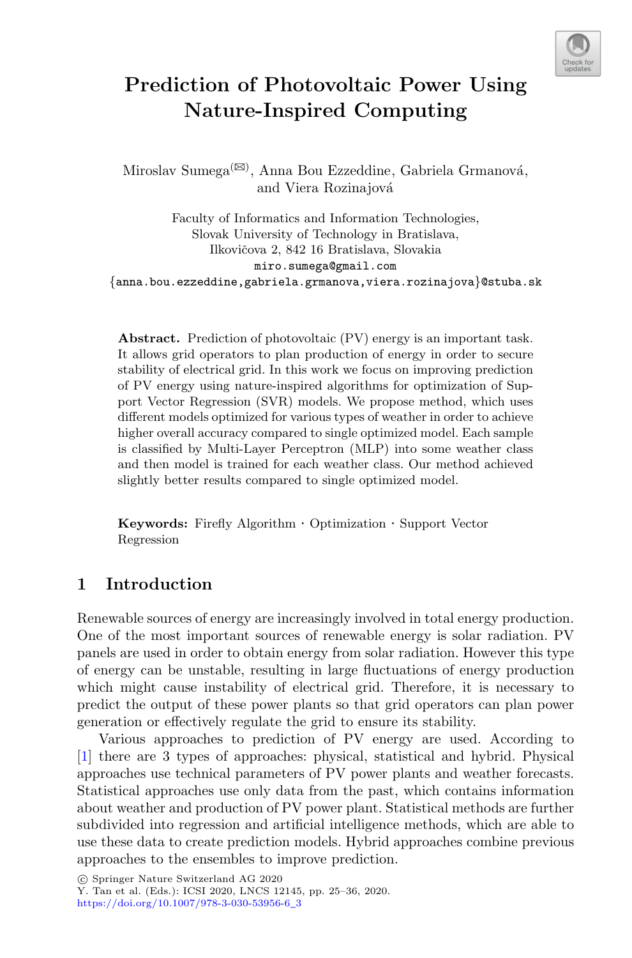

# **Prediction of Photovoltaic Power Using Nature-Inspired Computing**

 $\rm Miroslav\ Sumega^{(\boxtimes)},$ Anna Bou Ezzeddine, Gabriela Grmanová, and Viera Rozinajová

Faculty of Informatics and Information Technologies, Slovak University of Technology in Bratislava, Ilkovičova 2, 842 16 Bratislava, Slovakia miro.sumega@gmail.com *{*anna.bou.ezzeddine,gabriela.grmanova,viera.rozinajova*}*@stuba.sk

**Abstract.** Prediction of photovoltaic (PV) energy is an important task. It allows grid operators to plan production of energy in order to secure stability of electrical grid. In this work we focus on improving prediction of PV energy using nature-inspired algorithms for optimization of Support Vector Regression (SVR) models. We propose method, which uses different models optimized for various types of weather in order to achieve higher overall accuracy compared to single optimized model. Each sample is classified by Multi-Layer Perceptron (MLP) into some weather class and then model is trained for each weather class. Our method achieved slightly better results compared to single optimized model.

**Keywords:** Firefly Algorithm · Optimization · Support Vector Regression

## **1 Introduction**

Renewable sources of energy are increasingly involved in total energy production. One of the most important sources of renewable energy is solar radiation. PV panels are used in order to obtain energy from solar radiation. However this type of energy can be unstable, resulting in large fluctuations of energy production which might cause instability of electrical grid. Therefore, it is necessary to predict the output of these power plants so that grid operators can plan power generation or effectively regulate the grid to ensure its stability.

Various approaches to prediction of PV energy are used. According to [\[1](#page-10-0)] there are 3 types of approaches: physical, statistical and hybrid. Physical approaches use technical parameters of PV power plants and weather forecasts. Statistical approaches use only data from the past, which contains information about weather and production of PV power plant. Statistical methods are further subdivided into regression and artificial intelligence methods, which are able to use these data to create prediction models. Hybrid approaches combine previous approaches to the ensembles to improve prediction.

-c Springer Nature Switzerland AG 2020 Y. Tan et al. (Eds.): ICSI 2020, LNCS 12145, pp. 25–36, 2020. [https://doi.org/10.1007/978-3-030-53956-6](https://doi.org/10.1007/978-3-030-53956-6_3)\_3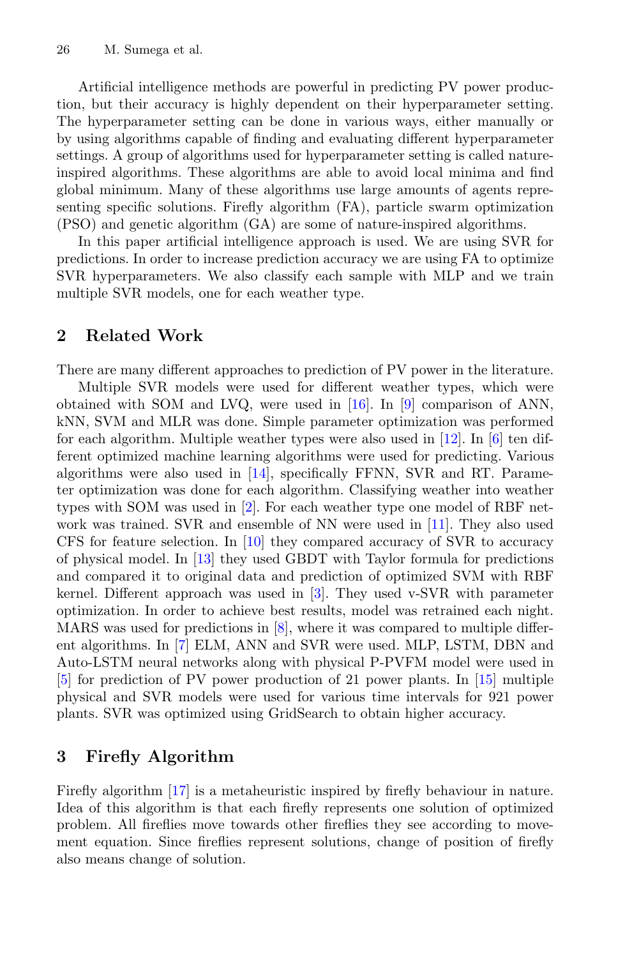Artificial intelligence methods are powerful in predicting PV power production, but their accuracy is highly dependent on their hyperparameter setting. The hyperparameter setting can be done in various ways, either manually or by using algorithms capable of finding and evaluating different hyperparameter settings. A group of algorithms used for hyperparameter setting is called natureinspired algorithms. These algorithms are able to avoid local minima and find global minimum. Many of these algorithms use large amounts of agents representing specific solutions. Firefly algorithm (FA), particle swarm optimization (PSO) and genetic algorithm (GA) are some of nature-inspired algorithms.

In this paper artificial intelligence approach is used. We are using SVR for predictions. In order to increase prediction accuracy we are using FA to optimize SVR hyperparameters. We also classify each sample with MLP and we train multiple SVR models, one for each weather type.

### **2 Related Work**

There are many different approaches to prediction of PV power in the literature.

Multiple SVR models were used for different weather types, which were obtained with SOM and LVQ, were used in [\[16\]](#page-11-0). In [\[9](#page-11-1)] comparison of ANN, kNN, SVM and MLR was done. Simple parameter optimization was performed for each algorithm. Multiple weather types were also used in [\[12\]](#page-11-2). In [\[6](#page-11-3)] ten different optimized machine learning algorithms were used for predicting. Various algorithms were also used in [\[14](#page-11-4)], specifically FFNN, SVR and RT. Parameter optimization was done for each algorithm. Classifying weather into weather types with SOM was used in [\[2\]](#page-10-1). For each weather type one model of RBF network was trained. SVR and ensemble of NN were used in [\[11\]](#page-11-5). They also used CFS for feature selection. In [\[10\]](#page-11-6) they compared accuracy of SVR to accuracy of physical model. In [\[13\]](#page-11-7) they used GBDT with Taylor formula for predictions and compared it to original data and prediction of optimized SVM with RBF kernel. Different approach was used in [\[3](#page-10-2)]. They used v-SVR with parameter optimization. In order to achieve best results, model was retrained each night. MARS was used for predictions in [\[8](#page-11-8)], where it was compared to multiple different algorithms. In [\[7](#page-11-9)] ELM, ANN and SVR were used. MLP, LSTM, DBN and Auto-LSTM neural networks along with physical P-PVFM model were used in [\[5](#page-10-3)] for prediction of PV power production of 21 power plants. In [\[15\]](#page-11-10) multiple physical and SVR models were used for various time intervals for 921 power plants. SVR was optimized using GridSearch to obtain higher accuracy.

### **3 Firefly Algorithm**

Firefly algorithm [\[17](#page-11-11)] is a metaheuristic inspired by firefly behaviour in nature. Idea of this algorithm is that each firefly represents one solution of optimized problem. All fireflies move towards other fireflies they see according to movement equation. Since fireflies represent solutions, change of position of firefly also means change of solution.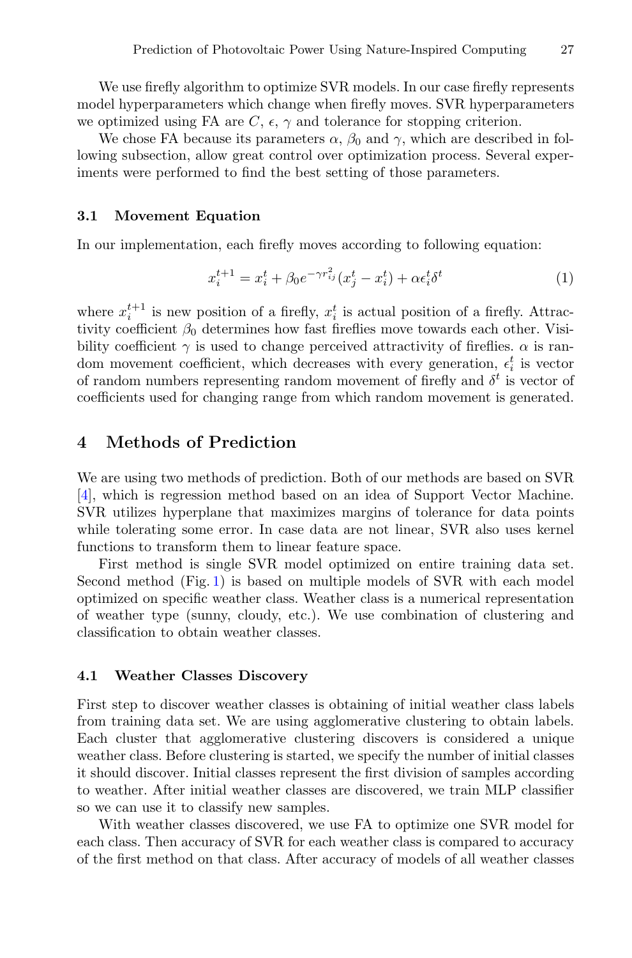We use firefly algorithm to optimize SVR models. In our case firefly represents model hyperparameters which change when firefly moves. SVR hyperparameters we optimized using FA are  $C, \epsilon, \gamma$  and tolerance for stopping criterion.

We chose FA because its parameters  $\alpha$ ,  $\beta_0$  and  $\gamma$ , which are described in following subsection, allow great control over optimization process. Several experiments were performed to find the best setting of those parameters.

#### <span id="page-2-0"></span>**3.1 Movement Equation**

In our implementation, each firefly moves according to following equation:

$$
x_i^{t+1} = x_i^t + \beta_0 e^{-\gamma r_{ij}^2} (x_j^t - x_i^t) + \alpha \epsilon_i^t \delta^t \tag{1}
$$

where  $x_i^{t+1}$  is new position of a firefly,  $x_i^t$  is actual position of a firefly. Attractivity coefficient  $\beta_0$  determines how fast fireflies move towards each other. Visibility coefficient  $\gamma$  is used to change perceived attractivity of fireflies.  $\alpha$  is random movement coefficient, which decreases with every generation,  $\epsilon_i^t$  is vector of random numbers representing random movement of firefly and  $\delta^t$  is vector of coefficients used for changing range from which random movement is generated.

### **4 Methods of Prediction**

We are using two methods of prediction. Both of our methods are based on SVR [\[4](#page-10-4)], which is regression method based on an idea of Support Vector Machine. SVR utilizes hyperplane that maximizes margins of tolerance for data points while tolerating some error. In case data are not linear, SVR also uses kernel functions to transform them to linear feature space.

First method is single SVR model optimized on entire training data set. Second method (Fig. [1\)](#page-3-0) is based on multiple models of SVR with each model optimized on specific weather class. Weather class is a numerical representation of weather type (sunny, cloudy, etc.). We use combination of clustering and classification to obtain weather classes.

#### **4.1 Weather Classes Discovery**

First step to discover weather classes is obtaining of initial weather class labels from training data set. We are using agglomerative clustering to obtain labels. Each cluster that agglomerative clustering discovers is considered a unique weather class. Before clustering is started, we specify the number of initial classes it should discover. Initial classes represent the first division of samples according to weather. After initial weather classes are discovered, we train MLP classifier so we can use it to classify new samples.

With weather classes discovered, we use FA to optimize one SVR model for each class. Then accuracy of SVR for each weather class is compared to accuracy of the first method on that class. After accuracy of models of all weather classes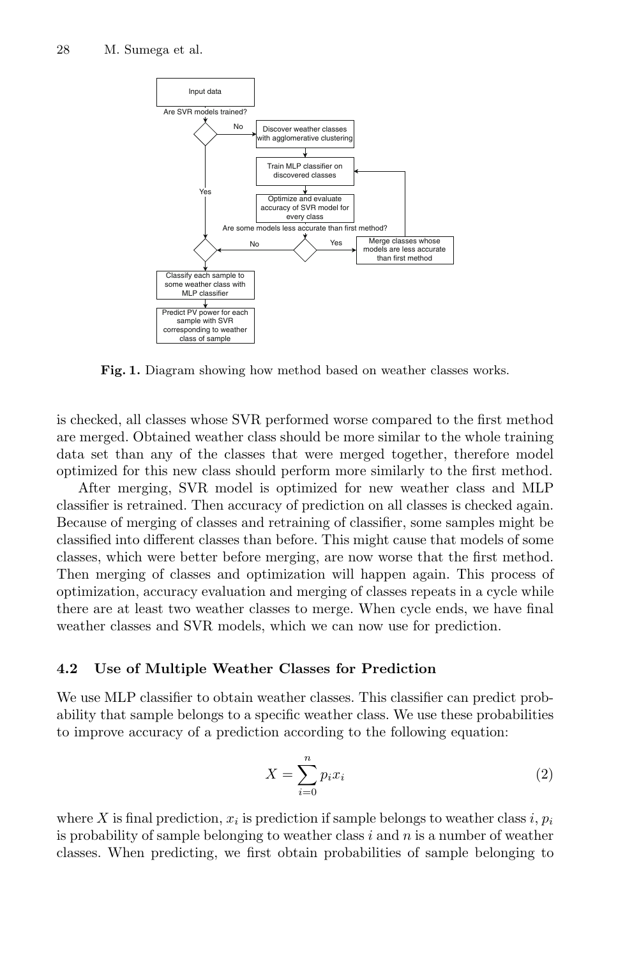

<span id="page-3-0"></span>**Fig. 1.** Diagram showing how method based on weather classes works.

is checked, all classes whose SVR performed worse compared to the first method are merged. Obtained weather class should be more similar to the whole training data set than any of the classes that were merged together, therefore model optimized for this new class should perform more similarly to the first method.

After merging, SVR model is optimized for new weather class and MLP classifier is retrained. Then accuracy of prediction on all classes is checked again. Because of merging of classes and retraining of classifier, some samples might be classified into different classes than before. This might cause that models of some classes, which were better before merging, are now worse that the first method. Then merging of classes and optimization will happen again. This process of optimization, accuracy evaluation and merging of classes repeats in a cycle while there are at least two weather classes to merge. When cycle ends, we have final weather classes and SVR models, which we can now use for prediction.

#### <span id="page-3-1"></span>**4.2 Use of Multiple Weather Classes for Prediction**

We use MLP classifier to obtain weather classes. This classifier can predict probability that sample belongs to a specific weather class. We use these probabilities to improve accuracy of a prediction according to the following equation:

$$
X = \sum_{i=0}^{n} p_i x_i \tag{2}
$$

where X is final prediction,  $x_i$  is prediction if sample belongs to weather class i,  $p_i$ is probability of sample belonging to weather class  $i$  and  $n$  is a number of weather classes. When predicting, we first obtain probabilities of sample belonging to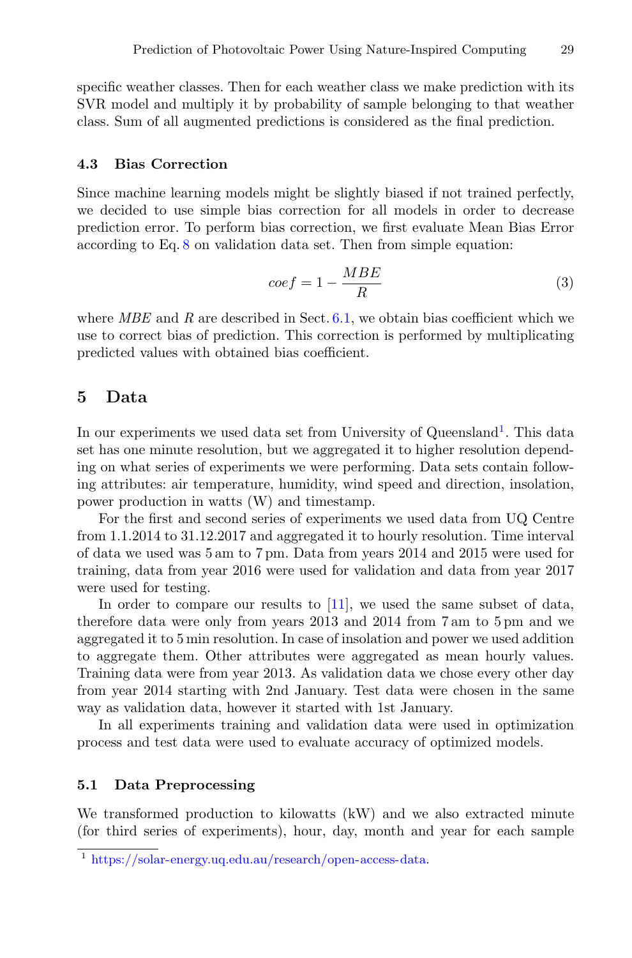specific weather classes. Then for each weather class we make prediction with its SVR model and multiply it by probability of sample belonging to that weather class. Sum of all augmented predictions is considered as the final prediction.

#### **4.3 Bias Correction**

Since machine learning models might be slightly biased if not trained perfectly, we decided to use simple bias correction for all models in order to decrease prediction error. To perform bias correction, we first evaluate Mean Bias Error according to Eq. [8](#page-5-0) on validation data set. Then from simple equation:

$$
coef = 1 - \frac{MBE}{R} \tag{3}
$$

where *MBE* and *R* are described in Sect. [6.1,](#page-5-1) we obtain bias coefficient which we use to correct bias of prediction. This correction is performed by multiplicating predicted values with obtained bias coefficient.

### **5 Data**

In our experiments we used data set from University of Queensland<sup>[1](#page-4-0)</sup>. This data set has one minute resolution, but we aggregated it to higher resolution depending on what series of experiments we were performing. Data sets contain following attributes: air temperature, humidity, wind speed and direction, insolation, power production in watts (W) and timestamp.

For the first and second series of experiments we used data from UQ Centre from 1.1.2014 to 31.12.2017 and aggregated it to hourly resolution. Time interval of data we used was 5 am to 7 pm. Data from years 2014 and 2015 were used for training, data from year 2016 were used for validation and data from year 2017 were used for testing.

In order to compare our results to [\[11](#page-11-5)], we used the same subset of data, therefore data were only from years 2013 and 2014 from 7 am to 5 pm and we aggregated it to 5 min resolution. In case of insolation and power we used addition to aggregate them. Other attributes were aggregated as mean hourly values. Training data were from year 2013. As validation data we chose every other day from year 2014 starting with 2nd January. Test data were chosen in the same way as validation data, however it started with 1st January.

In all experiments training and validation data were used in optimization process and test data were used to evaluate accuracy of optimized models.

#### **5.1 Data Preprocessing**

We transformed production to kilowatts (kW) and we also extracted minute (for third series of experiments), hour, day, month and year for each sample

<span id="page-4-0"></span><sup>1</sup> [https://solar-energy.uq.edu.au/research/open-access-data.](https://solar-energy.uq.edu.au/research/open-access-data)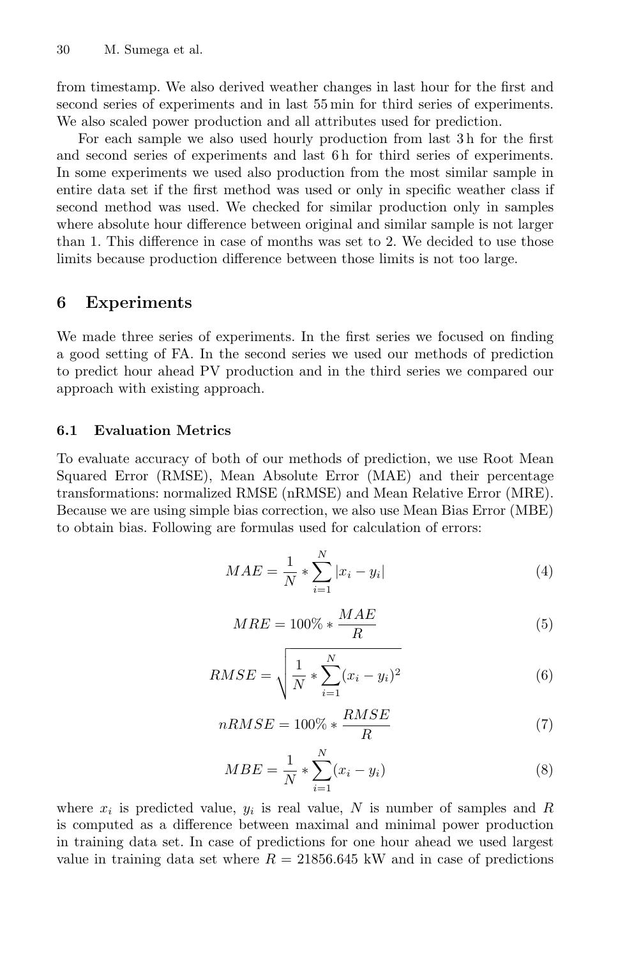from timestamp. We also derived weather changes in last hour for the first and second series of experiments and in last 55 min for third series of experiments. We also scaled power production and all attributes used for prediction.

For each sample we also used hourly production from last 3 h for the first and second series of experiments and last 6h for third series of experiments. In some experiments we used also production from the most similar sample in entire data set if the first method was used or only in specific weather class if second method was used. We checked for similar production only in samples where absolute hour difference between original and similar sample is not larger than 1. This difference in case of months was set to 2. We decided to use those limits because production difference between those limits is not too large.

### **6 Experiments**

We made three series of experiments. In the first series we focused on finding a good setting of FA. In the second series we used our methods of prediction to predict hour ahead PV production and in the third series we compared our approach with existing approach.

### <span id="page-5-1"></span>**6.1 Evaluation Metrics**

To evaluate accuracy of both of our methods of prediction, we use Root Mean Squared Error (RMSE), Mean Absolute Error (MAE) and their percentage transformations: normalized RMSE (nRMSE) and Mean Relative Error (MRE). Because we are using simple bias correction, we also use Mean Bias Error (MBE) to obtain bias. Following are formulas used for calculation of errors:

$$
MAE = \frac{1}{N} * \sum_{i=1}^{N} |x_i - y_i|
$$
 (4)

$$
MRE = 100\% * \frac{MAE}{R}
$$
 (5)

$$
RMSE = \sqrt{\frac{1}{N} * \sum_{i=1}^{N} (x_i - y_i)^2}
$$
 (6)

$$
nRMSE = 100\% * \frac{RMSE}{R}
$$
 (7)

<span id="page-5-0"></span>
$$
MBE = \frac{1}{N} * \sum_{i=1}^{N} (x_i - y_i)
$$
 (8)

where  $x_i$  is predicted value,  $y_i$  is real value, N is number of samples and R is computed as a difference between maximal and minimal power production in training data set. In case of predictions for one hour ahead we used largest value in training data set where  $R = 21856.645$  kW and in case of predictions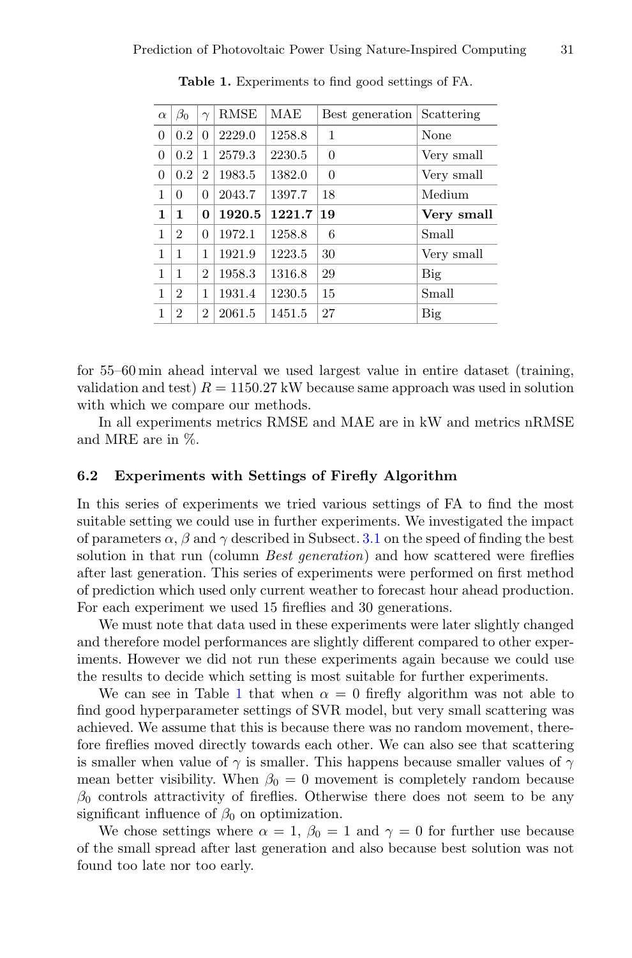| $\alpha$ | $\beta_0$      | $\gamma$       | <b>RMSE</b> | MAE    | Best generation | Scattering |
|----------|----------------|----------------|-------------|--------|-----------------|------------|
| $\Omega$ | 0.2            | 0              | 2229.0      | 1258.8 | 1               | None       |
| $\Omega$ | 0.2            | 1              | 2579.3      | 2230.5 | $\theta$        | Very small |
| $\theta$ | 0.2            | $\overline{2}$ | 1983.5      | 1382.0 | $\theta$        | Very small |
| 1        | $\Omega$       | $\theta$       | 2043.7      | 1397.7 | 18              | Medium     |
| 1        | 1              | 0              | 1920.5      | 1221.7 | 19              | Very small |
| 1        | $\overline{2}$ | $\theta$       | 1972.1      | 1258.8 | 6               | Small      |
| 1        | 1              | 1              | 1921.9      | 1223.5 | 30              | Very small |
| 1        | 1              | $\overline{2}$ | 1958.3      | 1316.8 | 29              | Big        |
| 1        | $\overline{2}$ | 1              | 1931.4      | 1230.5 | 15              | Small      |
| 1        | $\overline{2}$ | 2              | 2061.5      | 1451.5 | 27              | Big        |

<span id="page-6-0"></span>**Table 1.** Experiments to find good settings of FA.

for 55–60 min ahead interval we used largest value in entire dataset (training, validation and test)  $R = 1150.27$  kW because same approach was used in solution with which we compare our methods.

In all experiments metrics RMSE and MAE are in kW and metrics nRMSE and MRE are in %.

### **6.2 Experiments with Settings of Firefly Algorithm**

In this series of experiments we tried various settings of FA to find the most suitable setting we could use in further experiments. We investigated the impact of parameters  $\alpha$ ,  $\beta$  and  $\gamma$  described in Subsect. [3.1](#page-2-0) on the speed of finding the best solution in that run (column *Best generation*) and how scattered were fireflies after last generation. This series of experiments were performed on first method of prediction which used only current weather to forecast hour ahead production. For each experiment we used 15 fireflies and 30 generations.

We must note that data used in these experiments were later slightly changed and therefore model performances are slightly different compared to other experiments. However we did not run these experiments again because we could use the results to decide which setting is most suitable for further experiments.

We can see in Table [1](#page-6-0) that when  $\alpha = 0$  firefly algorithm was not able to find good hyperparameter settings of SVR model, but very small scattering was achieved. We assume that this is because there was no random movement, therefore fireflies moved directly towards each other. We can also see that scattering is smaller when value of  $\gamma$  is smaller. This happens because smaller values of  $\gamma$ mean better visibility. When  $\beta_0 = 0$  movement is completely random because  $\beta_0$  controls attractivity of fireflies. Otherwise there does not seem to be any significant influence of  $\beta_0$  on optimization.

We chose settings where  $\alpha = 1$ ,  $\beta_0 = 1$  and  $\gamma = 0$  for further use because of the small spread after last generation and also because best solution was not found too late nor too early.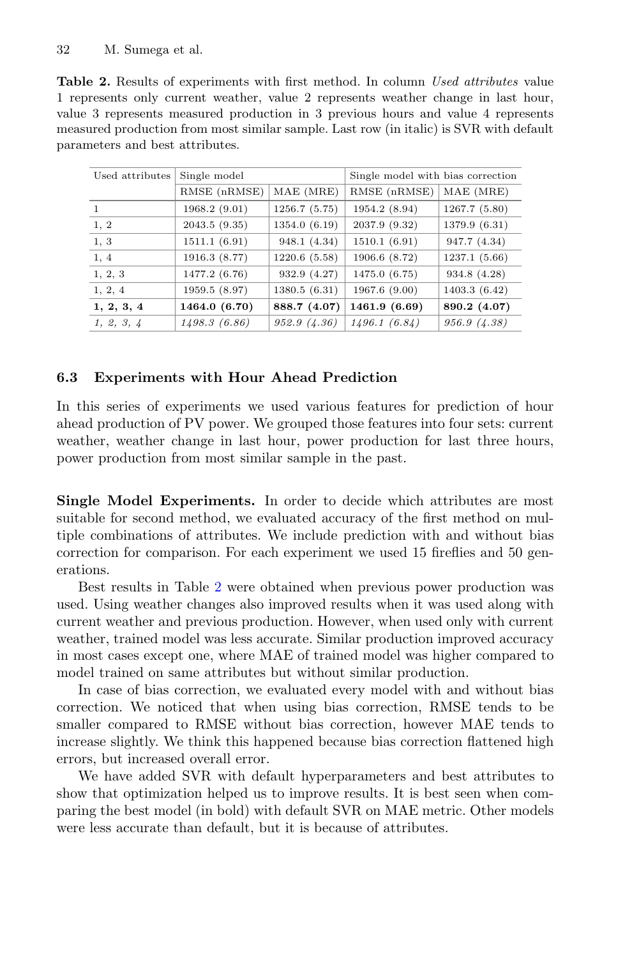<span id="page-7-0"></span>**Table 2.** Results of experiments with first method. In column *Used attributes* value 1 represents only current weather, value 2 represents weather change in last hour, value 3 represents measured production in 3 previous hours and value 4 represents measured production from most similar sample. Last row (in italic) is SVR with default parameters and best attributes.

| Used attributes | Single model  |               | Single model with bias correction |               |
|-----------------|---------------|---------------|-----------------------------------|---------------|
|                 | RMSE (nRMSE)  | MAE (MRE)     | RMSE (nRMSE)                      | MAE (MRE)     |
| 1               | 1968.2 (9.01) | 1256.7(5.75)  | 1954.2 (8.94)                     | 1267.7(5.80)  |
| 1, 2            | 2043.5 (9.35) | 1354.0 (6.19) | 2037.9 (9.32)                     | 1379.9 (6.31) |
| 1, 3            | 1511.1(6.91)  | 948.1 (4.34)  | 1510.1(6.91)                      | 947.7 (4.34)  |
| 1, 4            | 1916.3 (8.77) | 1220.6(5.58)  | 1906.6 (8.72)                     | 1237.1 (5.66) |
| 1, 2, 3         | 1477.2 (6.76) | 932.9 (4.27)  | 1475.0 (6.75)                     | 934.8 (4.28)  |
| 1, 2, 4         | 1959.5 (8.97) | 1380.5(6.31)  | 1967.6 (9.00)                     | 1403.3 (6.42) |
| 1, 2, 3, 4      | 1464.0 (6.70) | 888.7 (4.07)  | 1461.9 (6.69)                     | 890.2 (4.07)  |
| 1, 2, 3, 4      | 1498.3 (6.86) | 952.9(4.36)   | 1496.1(6.84)                      | 956.9(4.38)   |

### **6.3 Experiments with Hour Ahead Prediction**

In this series of experiments we used various features for prediction of hour ahead production of PV power. We grouped those features into four sets: current weather, weather change in last hour, power production for last three hours, power production from most similar sample in the past.

**Single Model Experiments.** In order to decide which attributes are most suitable for second method, we evaluated accuracy of the first method on multiple combinations of attributes. We include prediction with and without bias correction for comparison. For each experiment we used 15 fireflies and 50 generations.

Best results in Table [2](#page-7-0) were obtained when previous power production was used. Using weather changes also improved results when it was used along with current weather and previous production. However, when used only with current weather, trained model was less accurate. Similar production improved accuracy in most cases except one, where MAE of trained model was higher compared to model trained on same attributes but without similar production.

In case of bias correction, we evaluated every model with and without bias correction. We noticed that when using bias correction, RMSE tends to be smaller compared to RMSE without bias correction, however MAE tends to increase slightly. We think this happened because bias correction flattened high errors, but increased overall error.

We have added SVR with default hyperparameters and best attributes to show that optimization helped us to improve results. It is best seen when comparing the best model (in bold) with default SVR on MAE metric. Other models were less accurate than default, but it is because of attributes.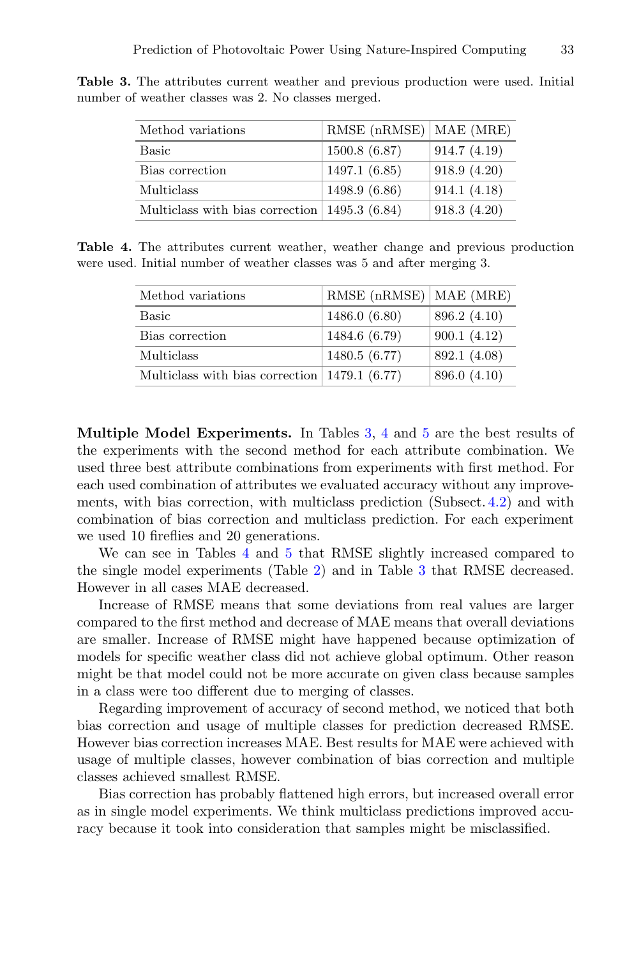<span id="page-8-0"></span>

| Method variations                               | RMSE $(nRMSE)$ MAE $(MRE)$ |             |
|-------------------------------------------------|----------------------------|-------------|
| Basic                                           | 1500.8(6.87)               | 914.7(4.19) |
| Bias correction                                 | 1497.1 (6.85)              | 918.9(4.20) |
| Multiclass                                      | 1498.9 (6.86)              | 914.1(4.18) |
| Multiclass with bias correction $ 1495.3(6.84)$ |                            | 918.3(4.20) |

**Table 3.** The attributes current weather and previous production were used. Initial number of weather classes was 2. No classes merged.

**Table 4.** The attributes current weather, weather change and previous production were used. Initial number of weather classes was 5 and after merging 3.

<span id="page-8-1"></span>

| Method variations                                       | RMSE $(nRMSE)$ MAE $(MRE)$ |              |
|---------------------------------------------------------|----------------------------|--------------|
| Basic                                                   | 1486.0(6.80)               | 896.2 (4.10) |
| Bias correction                                         | 1484.6 (6.79)              | 900.1(4.12)  |
| Multiclass                                              | 1480.5 (6.77)              | 892.1 (4.08) |
| Multiclass with bias correction $ 1479.1\rangle$ (6.77) |                            | 896.0 (4.10) |

**Multiple Model Experiments.** In Tables [3,](#page-8-0) [4](#page-8-1) and [5](#page-9-0) are the best results of the experiments with the second method for each attribute combination. We used three best attribute combinations from experiments with first method. For each used combination of attributes we evaluated accuracy without any improvements, with bias correction, with multiclass prediction (Subsect. [4.2\)](#page-3-1) and with combination of bias correction and multiclass prediction. For each experiment we used 10 fireflies and 20 generations.

We can see in Tables [4](#page-8-1) and [5](#page-9-0) that RMSE slightly increased compared to the single model experiments (Table [2\)](#page-7-0) and in Table [3](#page-8-0) that RMSE decreased. However in all cases MAE decreased.

Increase of RMSE means that some deviations from real values are larger compared to the first method and decrease of MAE means that overall deviations are smaller. Increase of RMSE might have happened because optimization of models for specific weather class did not achieve global optimum. Other reason might be that model could not be more accurate on given class because samples in a class were too different due to merging of classes.

Regarding improvement of accuracy of second method, we noticed that both bias correction and usage of multiple classes for prediction decreased RMSE. However bias correction increases MAE. Best results for MAE were achieved with usage of multiple classes, however combination of bias correction and multiple classes achieved smallest RMSE.

Bias correction has probably flattened high errors, but increased overall error as in single model experiments. We think multiclass predictions improved accuracy because it took into consideration that samples might be misclassified.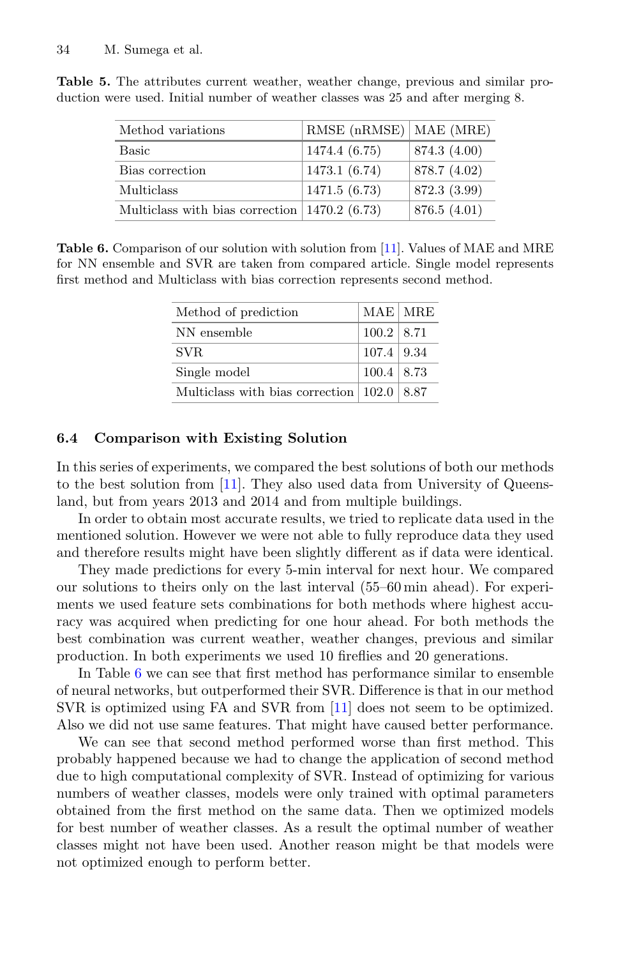<span id="page-9-0"></span>

| Method variations                                 | RMSE $(nRMSE)$ MAE $(MRE)$ |              |
|---------------------------------------------------|----------------------------|--------------|
| Basic                                             | 1474.4 (6.75)              | 874.3 (4.00) |
| Bias correction                                   | 1473.1 (6.74)              | 878.7 (4.02) |
| Multiclass                                        | 1471.5(6.73)               | 872.3 (3.99) |
| Multiclass with bias correction $  1470.2 (6.73)$ |                            | 876.5(4.01)  |

**Table 5.** The attributes current weather, weather change, previous and similar production were used. Initial number of weather classes was 25 and after merging 8.

<span id="page-9-1"></span>**Table 6.** Comparison of our solution with solution from [\[11](#page-11-5)]. Values of MAE and MRE for NN ensemble and SVR are taken from compared article. Single model represents first method and Multiclass with bias correction represents second method.

| Method of prediction                          | MAE   MRE        |  |
|-----------------------------------------------|------------------|--|
| NN ensemble                                   | $100.2$   8.71   |  |
| SVR.                                          | $107.4 \pm 9.34$ |  |
| Single model                                  | $100.4 \pm 8.73$ |  |
| Multiclass with bias correction $ 102.0 8.87$ |                  |  |

#### **6.4 Comparison with Existing Solution**

In this series of experiments, we compared the best solutions of both our methods to the best solution from [\[11](#page-11-5)]. They also used data from University of Queensland, but from years 2013 and 2014 and from multiple buildings.

In order to obtain most accurate results, we tried to replicate data used in the mentioned solution. However we were not able to fully reproduce data they used and therefore results might have been slightly different as if data were identical.

They made predictions for every 5-min interval for next hour. We compared our solutions to theirs only on the last interval (55–60 min ahead). For experiments we used feature sets combinations for both methods where highest accuracy was acquired when predicting for one hour ahead. For both methods the best combination was current weather, weather changes, previous and similar production. In both experiments we used 10 fireflies and 20 generations.

In Table [6](#page-9-1) we can see that first method has performance similar to ensemble of neural networks, but outperformed their SVR. Difference is that in our method SVR is optimized using FA and SVR from [\[11](#page-11-5)] does not seem to be optimized. Also we did not use same features. That might have caused better performance.

We can see that second method performed worse than first method. This probably happened because we had to change the application of second method due to high computational complexity of SVR. Instead of optimizing for various numbers of weather classes, models were only trained with optimal parameters obtained from the first method on the same data. Then we optimized models for best number of weather classes. As a result the optimal number of weather classes might not have been used. Another reason might be that models were not optimized enough to perform better.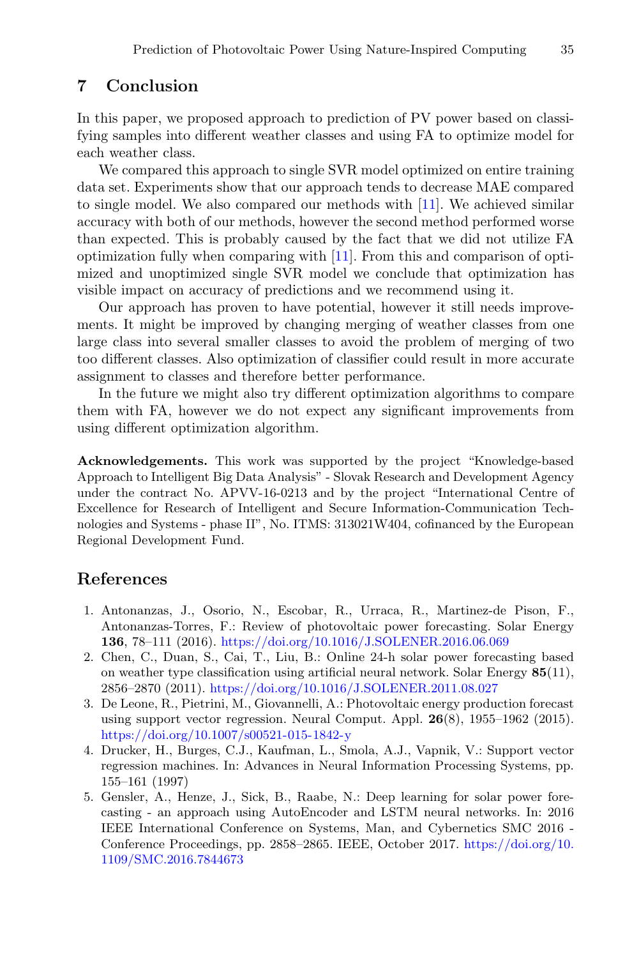### **7 Conclusion**

In this paper, we proposed approach to prediction of PV power based on classifying samples into different weather classes and using FA to optimize model for each weather class.

We compared this approach to single SVR model optimized on entire training data set. Experiments show that our approach tends to decrease MAE compared to single model. We also compared our methods with [\[11](#page-11-5)]. We achieved similar accuracy with both of our methods, however the second method performed worse than expected. This is probably caused by the fact that we did not utilize FA optimization fully when comparing with [\[11\]](#page-11-5). From this and comparison of optimized and unoptimized single SVR model we conclude that optimization has visible impact on accuracy of predictions and we recommend using it.

Our approach has proven to have potential, however it still needs improvements. It might be improved by changing merging of weather classes from one large class into several smaller classes to avoid the problem of merging of two too different classes. Also optimization of classifier could result in more accurate assignment to classes and therefore better performance.

In the future we might also try different optimization algorithms to compare them with FA, however we do not expect any significant improvements from using different optimization algorithm.

**Acknowledgements.** This work was supported by the project "Knowledge-based Approach to Intelligent Big Data Analysis" - Slovak Research and Development Agency under the contract No. APVV-16-0213 and by the project "International Centre of Excellence for Research of Intelligent and Secure Information-Communication Technologies and Systems - phase II", No. ITMS: 313021W404, cofinanced by the European Regional Development Fund.

### **References**

- <span id="page-10-0"></span>1. Antonanzas, J., Osorio, N., Escobar, R., Urraca, R., Martinez-de Pison, F., Antonanzas-Torres, F.: Review of photovoltaic power forecasting. Solar Energy **136**, 78–111 (2016). <https://doi.org/10.1016/J.SOLENER.2016.06.069>
- <span id="page-10-1"></span>2. Chen, C., Duan, S., Cai, T., Liu, B.: Online 24-h solar power forecasting based on weather type classification using artificial neural network. Solar Energy **85**(11), 2856–2870 (2011). <https://doi.org/10.1016/J.SOLENER.2011.08.027>
- <span id="page-10-2"></span>3. De Leone, R., Pietrini, M., Giovannelli, A.: Photovoltaic energy production forecast using support vector regression. Neural Comput. Appl. **26**(8), 1955–1962 (2015). <https://doi.org/10.1007/s00521-015-1842-y>
- <span id="page-10-4"></span>4. Drucker, H., Burges, C.J., Kaufman, L., Smola, A.J., Vapnik, V.: Support vector regression machines. In: Advances in Neural Information Processing Systems, pp. 155–161 (1997)
- <span id="page-10-3"></span>5. Gensler, A., Henze, J., Sick, B., Raabe, N.: Deep learning for solar power forecasting - an approach using AutoEncoder and LSTM neural networks. In: 2016 IEEE International Conference on Systems, Man, and Cybernetics SMC 2016 - Conference Proceedings, pp. 2858–2865. IEEE, October 2017. [https://doi.org/10.](https://doi.org/10.1109/SMC.2016.7844673) [1109/SMC.2016.7844673](https://doi.org/10.1109/SMC.2016.7844673)